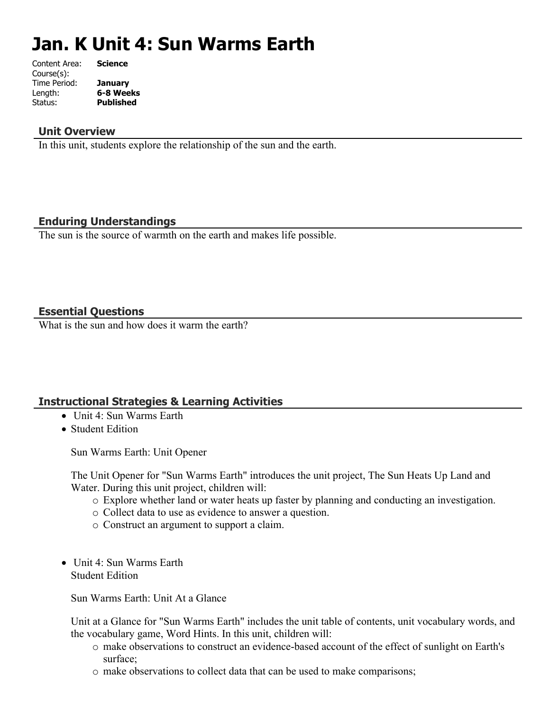# **Jan. K Unit 4: Sun Warms Earth**

| Content Area: | <b>Science</b>   |
|---------------|------------------|
| Course(s):    |                  |
| Time Period:  | <b>January</b>   |
| Length:       | 6-8 Weeks        |
| Status:       | <b>Published</b> |
|               |                  |

#### **Unit Overview**

In this unit, students explore the relationship of the sun and the earth.

# **Enduring Understandings**

The sun is the source of warmth on the earth and makes life possible.

## **Essential Questions**

What is the sun and how does it warm the earth?

# **Instructional Strategies & Learning Activities**

- Unit 4: Sun Warms Earth
- Student Edition

Sun Warms Earth: Unit Opener

The Unit Opener for "Sun Warms Earth" introduces the unit project, The Sun Heats Up Land and Water. During this unit project, children will:

- o Explore whether land or water heats up faster by planning and conducting an investigation.
- o Collect data to use as evidence to answer a question.
- o Construct an argument to support a claim.
- Unit 4: Sun Warms Earth Student Edition

Sun Warms Earth: Unit At a Glance

Unit at a Glance for "Sun Warms Earth" includes the unit table of contents, unit vocabulary words, and the vocabulary game, Word Hints. In this unit, children will:

- o make observations to construct an evidence-based account of the effect of sunlight on Earth's surface;
- o make observations to collect data that can be used to make comparisons;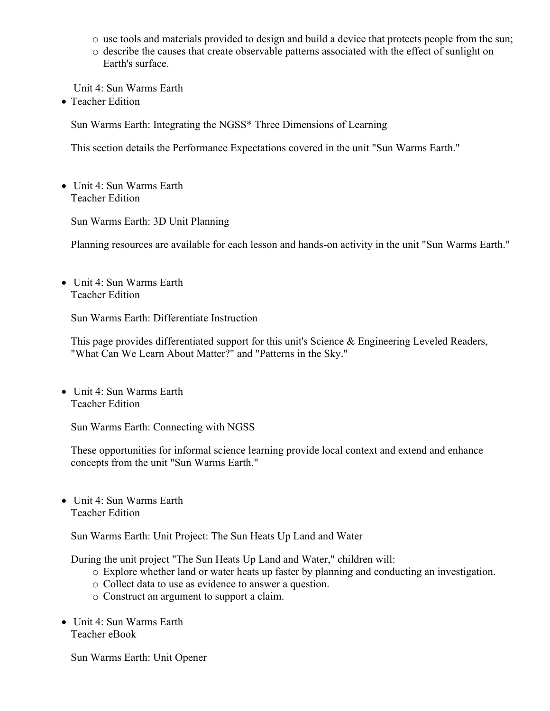- o use tools and materials provided to design and build a device that protects people from the sun;
- o describe the causes that create observable patterns associated with the effect of sunlight on Earth's surface.

Unit 4: Sun Warms Earth

• Teacher Edition

Sun Warms Earth: Integrating the NGSS\* Three Dimensions of Learning

This section details the Performance Expectations covered in the unit "Sun Warms Earth."

• Unit 4: Sun Warms Earth Teacher Edition

Sun Warms Earth: 3D Unit Planning

Planning resources are available for each lesson and hands-on activity in the unit "Sun Warms Earth."

• Unit 4: Sun Warms Earth Teacher Edition

Sun Warms Earth: Differentiate Instruction

This page provides differentiated support for this unit's Science & Engineering Leveled Readers, "What Can We Learn About Matter?" and "Patterns in the Sky."

• Unit 4: Sun Warms Earth Teacher Edition

Sun Warms Earth: Connecting with NGSS

These opportunities for informal science learning provide local context and extend and enhance concepts from the unit "Sun Warms Earth."

• Unit 4: Sun Warms Earth Teacher Edition

Sun Warms Earth: Unit Project: The Sun Heats Up Land and Water

During the unit project "The Sun Heats Up Land and Water," children will:

- o Explore whether land or water heats up faster by planning and conducting an investigation.
- o Collect data to use as evidence to answer a question.
- o Construct an argument to support a claim.
- Unit 4: Sun Warms Earth Teacher eBook

Sun Warms Earth: Unit Opener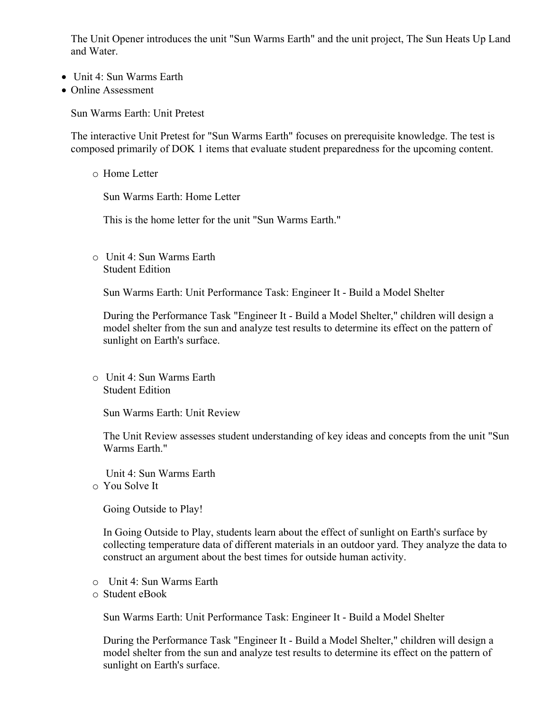The Unit Opener introduces the unit "Sun Warms Earth" and the unit project, The Sun Heats Up Land and Water.

- Unit 4: Sun Warms Earth
- Online Assessment

Sun Warms Earth: Unit Pretest

The interactive Unit Pretest for "Sun Warms Earth" focuses on prerequisite knowledge. The test is composed primarily of DOK 1 items that evaluate student preparedness for the upcoming content.

o Home Letter

Sun Warms Earth: Home Letter

This is the home letter for the unit "Sun Warms Earth."

o Unit 4: Sun Warms Earth Student Edition

Sun Warms Earth: Unit Performance Task: Engineer It - Build a Model Shelter

During the Performance Task "Engineer It - Build a Model Shelter," children will design a model shelter from the sun and analyze test results to determine its effect on the pattern of sunlight on Earth's surface.

o Unit 4: Sun Warms Earth Student Edition

Sun Warms Earth: Unit Review

The Unit Review assesses student understanding of key ideas and concepts from the unit "Sun Warms Earth."

Unit 4: Sun Warms Earth

o You Solve It

Going Outside to Play!

In Going Outside to Play, students learn about the effect of sunlight on Earth's surface by collecting temperature data of different materials in an outdoor yard. They analyze the data to construct an argument about the best times for outside human activity.

- o Unit 4: Sun Warms Earth
- o Student eBook

Sun Warms Earth: Unit Performance Task: Engineer It - Build a Model Shelter

During the Performance Task "Engineer It - Build a Model Shelter," children will design a model shelter from the sun and analyze test results to determine its effect on the pattern of sunlight on Earth's surface.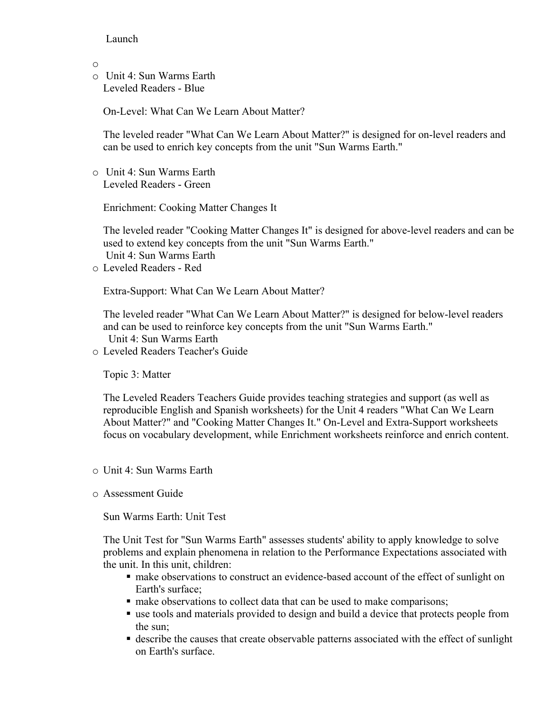#### Launch

o

o Unit 4: Sun Warms Earth Leveled Readers - Blue

On-Level: What Can We Learn About Matter?

The leveled reader "What Can We Learn About Matter?" is designed for on-level readers and can be used to enrich key concepts from the unit "Sun Warms Earth."

o Unit 4: Sun Warms Earth Leveled Readers - Green

Enrichment: Cooking Matter Changes It

The leveled reader "Cooking Matter Changes It" is designed for above-level readers and can be used to extend key concepts from the unit "Sun Warms Earth." Unit 4: Sun Warms Earth

o Leveled Readers - Red

Extra-Support: What Can We Learn About Matter?

The leveled reader "What Can We Learn About Matter?" is designed for below-level readers and can be used to reinforce key concepts from the unit "Sun Warms Earth." Unit 4: Sun Warms Earth

o Leveled Readers Teacher's Guide

Topic 3: Matter

The Leveled Readers Teachers Guide provides teaching strategies and support (as well as reproducible English and Spanish worksheets) for the Unit 4 readers "What Can We Learn About Matter?" and "Cooking Matter Changes It." On-Level and Extra-Support worksheets focus on vocabulary development, while Enrichment worksheets reinforce and enrich content.

- o Unit 4: Sun Warms Earth
- o Assessment Guide

Sun Warms Earth: Unit Test

The Unit Test for "Sun Warms Earth" assesses students' ability to apply knowledge to solve problems and explain phenomena in relation to the Performance Expectations associated with the unit. In this unit, children:

- make observations to construct an evidence-based account of the effect of sunlight on Earth's surface;
- $\blacksquare$  make observations to collect data that can be used to make comparisons;
- use tools and materials provided to design and build a device that protects people from the sun;
- describe the causes that create observable patterns associated with the effect of sunlight on Earth's surface.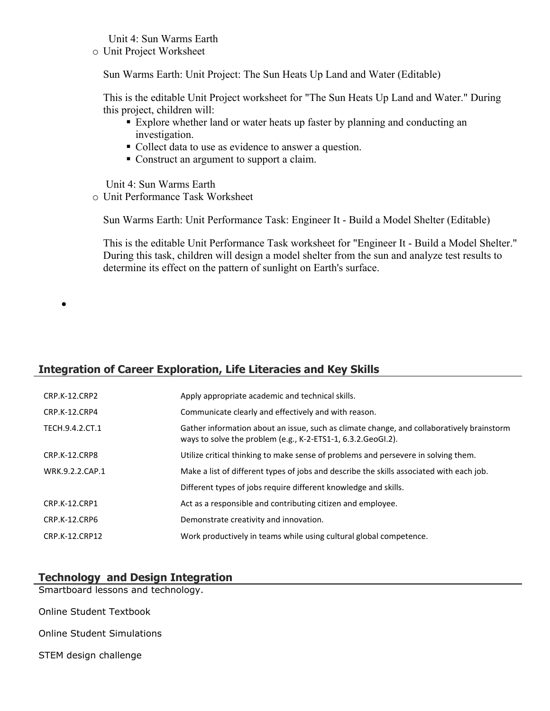Unit 4: Sun Warms Earth

o Unit Project Worksheet

Sun Warms Earth: Unit Project: The Sun Heats Up Land and Water (Editable)

This is the editable Unit Project worksheet for "The Sun Heats Up Land and Water." During this project, children will:

- Explore whether land or water heats up faster by planning and conducting an investigation.
- Collect data to use as evidence to answer a question.
- Construct an argument to support a claim.

Unit 4: Sun Warms Earth

o Unit Performance Task Worksheet

Sun Warms Earth: Unit Performance Task: Engineer It - Build a Model Shelter (Editable)

This is the editable Unit Performance Task worksheet for "Engineer It - Build a Model Shelter." During this task, children will design a model shelter from the sun and analyze test results to determine its effect on the pattern of sunlight on Earth's surface.

# **Integration of Career Exploration, Life Literacies and Key Skills**

| <b>CRP.K-12.CRP2</b> | Apply appropriate academic and technical skills.                                                                                                             |
|----------------------|--------------------------------------------------------------------------------------------------------------------------------------------------------------|
| CRP.K-12.CRP4        | Communicate clearly and effectively and with reason.                                                                                                         |
| TECH.9.4.2.CT.1      | Gather information about an issue, such as climate change, and collaboratively brainstorm<br>ways to solve the problem (e.g., K-2-ETS1-1, $6.3.2.$ GeoGl.2). |
| CRP.K-12.CRP8        | Utilize critical thinking to make sense of problems and persevere in solving them.                                                                           |
| WRK.9.2.2.CAP.1      | Make a list of different types of jobs and describe the skills associated with each job.                                                                     |
|                      | Different types of jobs require different knowledge and skills.                                                                                              |
| CRP.K-12.CRP1        | Act as a responsible and contributing citizen and employee.                                                                                                  |
| CRP.K-12.CRP6        | Demonstrate creativity and innovation.                                                                                                                       |
| CRP.K-12.CRP12       | Work productively in teams while using cultural global competence.                                                                                           |

# **Technology and Design Integration**

Smartboard lessons and technology.

Online Student Textbook

 $\bullet$ 

- Online Student Simulations
- STEM design challenge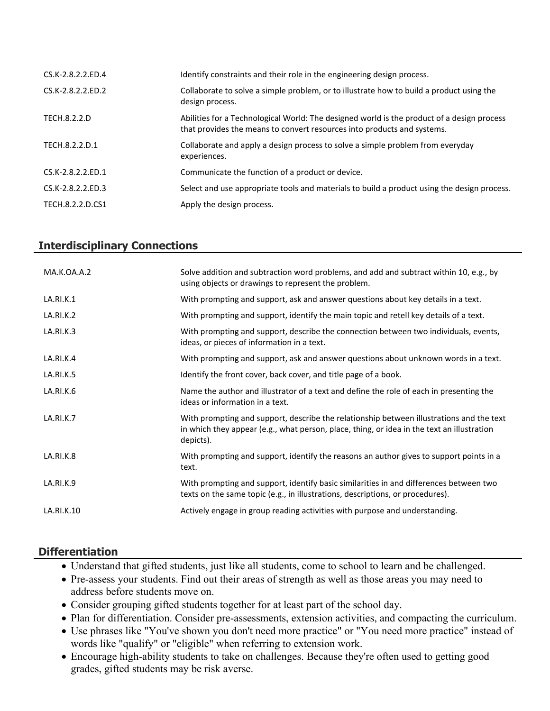| CS.K-2.8.2.2.ED.4 | Identify constraints and their role in the engineering design process.                                                                                                |
|-------------------|-----------------------------------------------------------------------------------------------------------------------------------------------------------------------|
| CS.K-2.8.2.2.ED.2 | Collaborate to solve a simple problem, or to illustrate how to build a product using the<br>design process.                                                           |
| TECH.8.2.2.D      | Abilities for a Technological World: The designed world is the product of a design process<br>that provides the means to convert resources into products and systems. |
| TECH.8.2.2.D.1    | Collaborate and apply a design process to solve a simple problem from everyday<br>experiences.                                                                        |
| CS.K-2.8.2.2.ED.1 | Communicate the function of a product or device.                                                                                                                      |
| CS.K-2.8.2.2.ED.3 | Select and use appropriate tools and materials to build a product using the design process.                                                                           |
| TECH.8.2.2.D.CS1  | Apply the design process.                                                                                                                                             |

## **Interdisciplinary Connections**

| MA.K.OA.A.2 | Solve addition and subtraction word problems, and add and subtract within 10, e.g., by<br>using objects or drawings to represent the problem.                                                       |
|-------------|-----------------------------------------------------------------------------------------------------------------------------------------------------------------------------------------------------|
| LA.RI.K.1   | With prompting and support, ask and answer questions about key details in a text.                                                                                                                   |
| LA.RI.K.2   | With prompting and support, identify the main topic and retell key details of a text.                                                                                                               |
| LA.RI.K.3   | With prompting and support, describe the connection between two individuals, events,<br>ideas, or pieces of information in a text.                                                                  |
| LA.RI.K.4   | With prompting and support, ask and answer questions about unknown words in a text.                                                                                                                 |
| LA.RI.K.5   | Identify the front cover, back cover, and title page of a book.                                                                                                                                     |
| LA.RI.K.6   | Name the author and illustrator of a text and define the role of each in presenting the<br>ideas or information in a text.                                                                          |
| LA.RI.K.7   | With prompting and support, describe the relationship between illustrations and the text<br>in which they appear (e.g., what person, place, thing, or idea in the text an illustration<br>depicts). |
| LA.RI.K.8   | With prompting and support, identify the reasons an author gives to support points in a<br>text.                                                                                                    |
| LA.RI.K.9   | With prompting and support, identify basic similarities in and differences between two<br>texts on the same topic (e.g., in illustrations, descriptions, or procedures).                            |
| LA.RI.K.10  | Actively engage in group reading activities with purpose and understanding.                                                                                                                         |

#### **Differentiation**

- Understand that gifted students, just like all students, come to school to learn and be challenged.
- Pre-assess your students. Find out their areas of strength as well as those areas you may need to address before students move on.
- Consider grouping gifted students together for at least part of the school day.
- Plan for differentiation. Consider pre-assessments, extension activities, and compacting the curriculum.
- Use phrases like "You've shown you don't need more practice" or "You need more practice" instead of words like "qualify" or "eligible" when referring to extension work.
- Encourage high-ability students to take on challenges. Because they're often used to getting good grades, gifted students may be risk averse.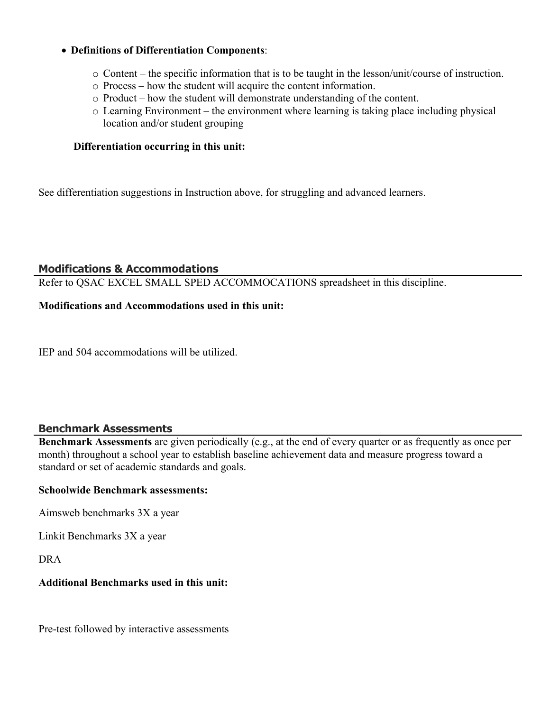#### **Definitions of Differentiation Components**:

- o Content the specific information that is to be taught in the lesson/unit/course of instruction.
- o Process how the student will acquire the content information.
- o Product how the student will demonstrate understanding of the content.
- o Learning Environment the environment where learning is taking place including physical location and/or student grouping

#### **Differentiation occurring in this unit:**

See differentiation suggestions in Instruction above, for struggling and advanced learners.

#### **Modifications & Accommodations**

Refer to QSAC EXCEL SMALL SPED ACCOMMOCATIONS spreadsheet in this discipline.

#### **Modifications and Accommodations used in this unit:**

IEP and 504 accommodations will be utilized.

#### **Benchmark Assessments**

**Benchmark Assessments** are given periodically (e.g., at the end of every quarter or as frequently as once per month) throughout a school year to establish baseline achievement data and measure progress toward a standard or set of academic standards and goals.

#### **Schoolwide Benchmark assessments:**

Aimsweb benchmarks 3X a year

Linkit Benchmarks 3X a year

DRA

#### **Additional Benchmarks used in this unit:**

Pre-test followed by interactive assessments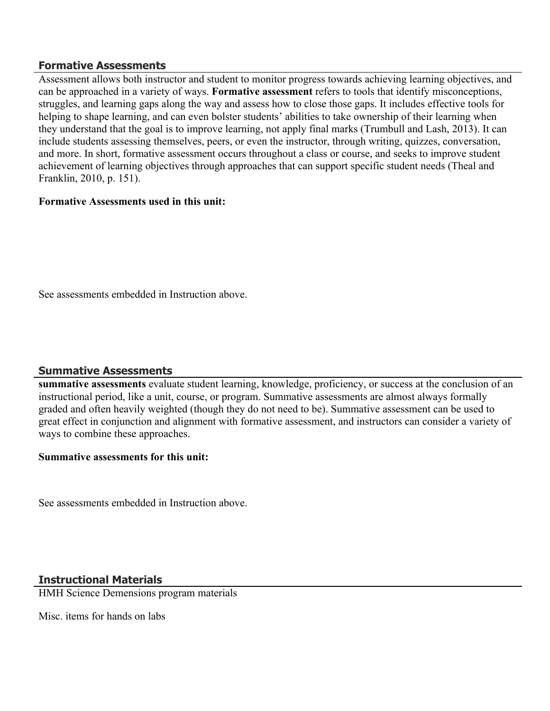#### **Formative Assessments**

Assessment allows both instructor and student to monitor progress towards achieving learning objectives, and can be approached in a variety of ways. **Formative assessment** refers to tools that identify misconceptions, struggles, and learning gaps along the way and assess how to close those gaps. It includes effective tools for helping to shape learning, and can even bolster students' abilities to take ownership of their learning when they understand that the goal is to improve learning, not apply final marks (Trumbull and Lash, 2013). It can include students assessing themselves, peers, or even the instructor, through writing, quizzes, conversation, and more. In short, formative assessment occurs throughout a class or course, and seeks to improve student achievement of learning objectives through approaches that can support specific student needs (Theal and Franklin, 2010, p. 151).

#### **Formative Assessments used in this unit:**

See assessments embedded in Instruction above.

#### **Summative Assessments**

**summative assessments** evaluate student learning, knowledge, proficiency, or success at the conclusion of an instructional period, like a unit, course, or program. Summative assessments are almost always formally graded and often heavily weighted (though they do not need to be). Summative assessment can be used to great effect in conjunction and alignment with formative assessment, and instructors can consider a variety of ways to combine these approaches.

#### **Summative assessments for this unit:**

See assessments embedded in Instruction above.

#### **Instructional Materials**

HMH Science Demensions program materials

Misc. items for hands on labs